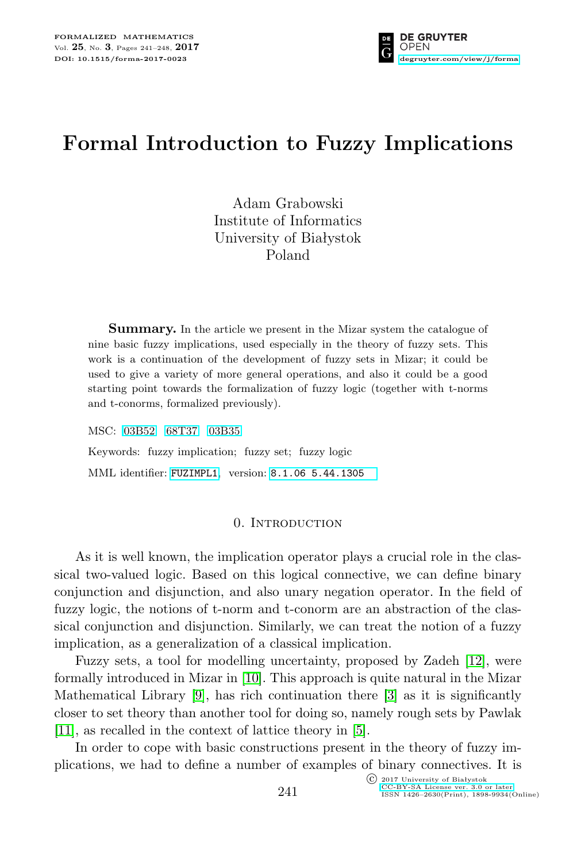

# **Formal Introduction to Fuzzy Implications**

Adam Grabowski Institute of Informatics University of Białystok Poland

**Summary.** In the article we present in the Mizar system the catalogue of nine basic fuzzy implications, used especially in the theory of fuzzy sets. This work is a continuation of the development of fuzzy sets in Mizar; it could be used to give a variety of more general operations, and also it could be a good starting point towards the formalization of fuzzy logic (together with t-norms and t-conorms, formalized previously).

MSC: [03B52](http://zbmath.org/classification/?q=cc:03B52) [68T37](http://zbmath.org/classification/?q=cc:68T37) [03B35](http://zbmath.org/classification/?q=cc:03B35) Keywords: fuzzy implication; fuzzy set; fuzzy logic MML identifier: [FUZIMPL1](http://fm.mizar.org/miz/fuzimpl1.miz), version: [8.1.06 5.44.1305](http://ftp.mizar.org/)

## 0. Introduction

As it is well known, the implication operator plays a crucial role in the classical two-valued logic. Based on this logical connective, we can define binary conjunction and disjunction, and also unary negation operator. In the field of fuzzy logic, the notions of t-norm and t-conorm are an abstraction of the classical conjunction and disjunction. Similarly, we can treat the notion of a fuzzy implication, as a generalization of a classical implication.

Fuzzy sets, a tool for modelling uncertainty, proposed by Zadeh [\[12\]](#page-7-0), were formally introduced in Mizar in [\[10\]](#page-7-1). This approach is quite natural in the Mizar Mathematical Library [\[9\]](#page-7-2), has rich continuation there [\[3\]](#page-6-0) as it is significantly closer to set theory than another tool for doing so, namely rough sets by Pawlak [\[11\]](#page-7-3), as recalled in the context of lattice theory in [\[5\]](#page-6-1).

In order to cope with basic constructions present in the theory of fuzzy implications, we had to define a number of examples of binary connectives. It is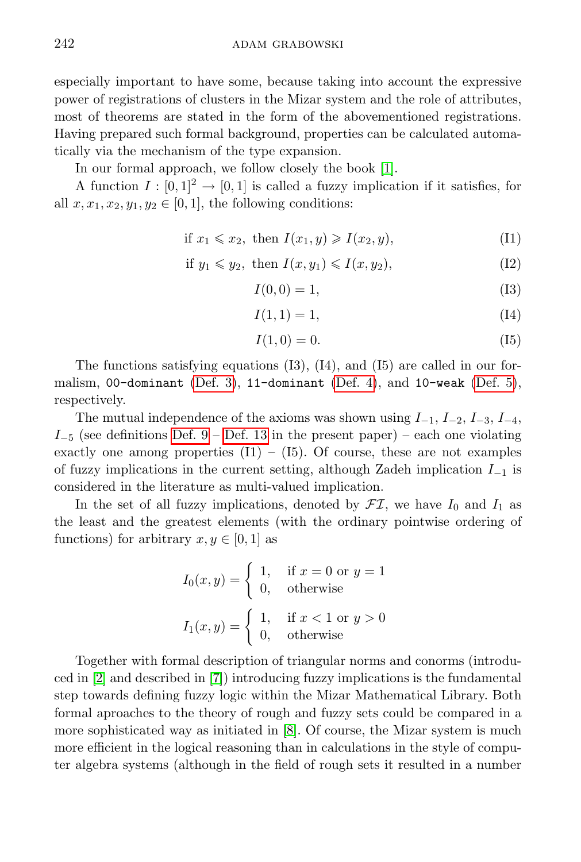especially important to have some, because taking into account the expressive power of registrations of clusters in the Mizar system and the role of attributes, most of theorems are stated in the form of the abovementioned registrations. Having prepared such formal background, properties can be calculated automatically via the mechanism of the type expansion.

In our formal approach, we follow closely the book [\[1\]](#page-6-2).

A function  $I : [0,1]^2 \rightarrow [0,1]$  is called a fuzzy implication if it satisfies, for all  $x, x_1, x_2, y_1, y_2 \in [0, 1]$ , the following conditions:

$$
\text{if } x_1 \leq x_2, \text{ then } I(x_1, y) \geqslant I(x_2, y), \tag{I1}
$$

$$
\text{if } y_1 \leqslant y_2, \text{ then } I(x, y_1) \leqslant I(x, y_2), \tag{I2}
$$

$$
I(0,0) = 1,\t(13)
$$

$$
I(1,1) = 1,\t(14)
$$

$$
I(1,0) = 0.\t(15)
$$

The functions satisfying equations  $(13)$ ,  $(14)$ , and  $(15)$  are called in our formalism, 00-dominant [\(Def. 3\)](#page-3-0), 11-dominant [\(Def. 4\)](#page-3-1), and 10-weak [\(Def. 5\)](#page-3-2), respectively.

The mutual independence of the axioms was shown using *I−*1*, I−*2*, I−*3*, I−*4*, I*<sup>−5</sup> (see definitions [Def. 9](#page-3-3) – [Def. 13](#page-4-0) in the present paper) – each one violating exactly one among properties  $(11) - (15)$ . Of course, these are not examples of fuzzy implications in the current setting, although Zadeh implication *I−*<sup>1</sup> is considered in the literature as multi-valued implication.

In the set of all fuzzy implications, denoted by  $\mathcal{FI}$ , we have  $I_0$  and  $I_1$  as the least and the greatest elements (with the ordinary pointwise ordering of functions) for arbitrary  $x, y \in [0, 1]$  as

$$
I_0(x, y) = \begin{cases} 1, & \text{if } x = 0 \text{ or } y = 1 \\ 0, & \text{otherwise} \end{cases}
$$

$$
I_1(x, y) = \begin{cases} 1, & \text{if } x < 1 \text{ or } y > 0 \\ 0, & \text{otherwise} \end{cases}
$$

Together with formal description of triangular norms and conorms (introduced in [\[2\]](#page-6-3) and described in [\[7\]](#page-7-4)) introducing fuzzy implications is the fundamental step towards defining fuzzy logic within the Mizar Mathematical Library. Both formal aproaches to the theory of rough and fuzzy sets could be compared in a more sophisticated way as initiated in [\[8\]](#page-7-5). Of course, the Mizar system is much more efficient in the logical reasoning than in calculations in the style of computer algebra systems (although in the field of rough sets it resulted in a number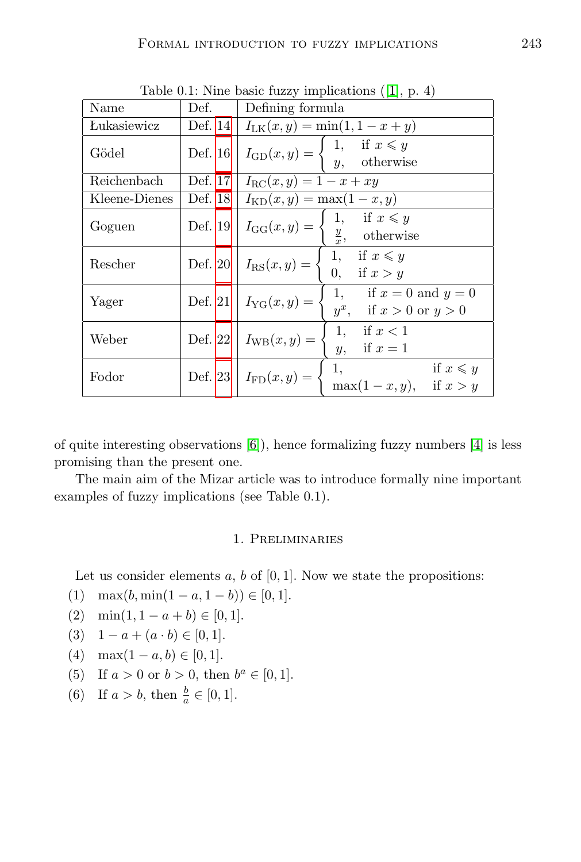|               |         | $\mathcal{L}$ $\mathcal{L}$ $\mathcal{L}$ $\mathcal{L}$ $\mathcal{L}$                                  |
|---------------|---------|--------------------------------------------------------------------------------------------------------|
| Name          | Def.    | Defining formula                                                                                       |
| Lukasiewicz   | Def. 14 | $I_{LK}(x, y) = \min(1, 1 - x + y)$                                                                    |
| Gödel         | Def. 16 | $I_{\text{GD}}(x, y) = \begin{cases} 1, & \text{if } x \leq y \\ y, & \text{otherwise} \end{cases}$    |
| Reichenbach   | Def. 17 | $I_{\rm RC}(x, y) = 1 - x + xy$                                                                        |
| Kleene-Dienes | Def. 18 | $I_{\text{KD}}(x, y) = \max(1 - x, y)$                                                                 |
| Goguen        | Def. 19 | $I_{GG}(x, y) = \begin{cases} 1, & \text{if } x \leq y \\ \frac{y}{x}, & \text{otherwise} \end{cases}$ |
| Rescher       |         | 1, if $x \leq y$<br>Def. 20   $I_{\text{RS}}(x, y) = \{$<br>0, if $x > y$                              |
| Yager         |         | 1, if $x = 0$ and $y = 0$<br>Def. 21   $I_{\text{YG}}(x, y) = \{$<br>$y^x$ , if $x > 0$ or $y > 0$     |
| Weber         |         | 1, if $x < 1$<br>Def. 22   $I_{\text{WB}}(x, y) = \langle$<br>y,<br>if $x=1$                           |
| Fodor         |         | if $x \leq y$<br>1,<br>Def. 23 $I_{FD}(x, y) = \{$<br>$\max(1-x,y), \quad \text{if } x > y$            |

Table 0.1: Nine basic fuzzy implications ([\[1\]](#page-6-2), p. 4)

of quite interesting observations [\[6\]](#page-7-6)), hence formalizing fuzzy numbers [\[4\]](#page-6-4) is less promising than the present one.

The main aim of the Mizar article was to introduce formally nine important examples of fuzzy implications (see Table 0.1).

# 1. Preliminaries

Let us consider elements  $a, b$  of  $[0, 1]$ . Now we state the propositions:

- (1) max(*b*, min(1 − *a*, 1 − *b*))  $\in$  [0, 1].
- (2) min(1, 1 − *a* + *b*)  $\in$  [0, 1].
- (3)  $1 a + (a \cdot b) \in [0, 1].$
- (4) max $(1 a, b) \in [0, 1].$
- (5) If  $a > 0$  or  $b > 0$ , then  $b^a \in [0, 1]$ .
- (6) If  $a > b$ , then  $\frac{b}{a} \in [0, 1]$ .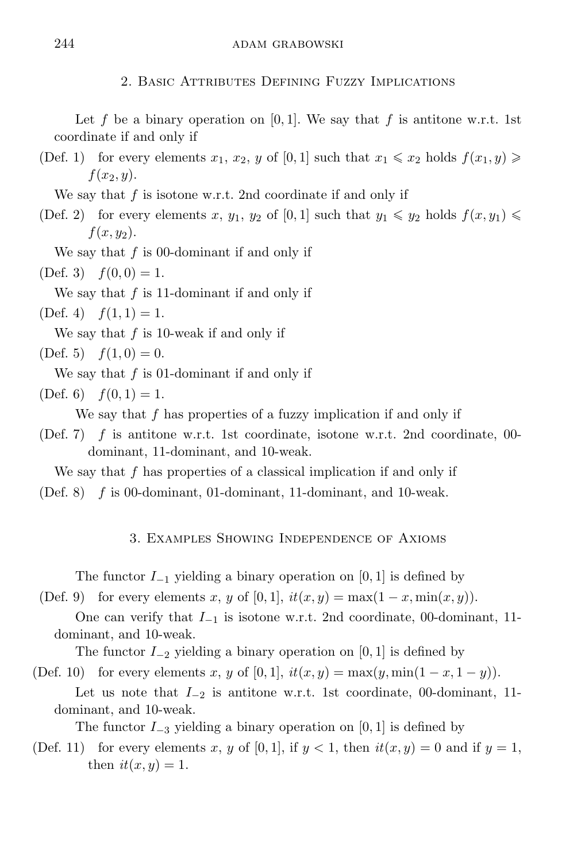Let f be a binary operation on  $[0, 1]$ . We say that f is antitone w.r.t. 1st coordinate if and only if

(Def. 1) for every elements  $x_1, x_2, y$  of [0, 1] such that  $x_1 \leq x_2$  holds  $f(x_1, y) \geq$  $f(x_2, y)$ .

We say that *f* is isotone w.r.t. 2nd coordinate if and only if

(Def. 2) for every elements *x*,  $y_1$ ,  $y_2$  of [0, 1] such that  $y_1 \leq y_2$  holds  $f(x, y_1) \leq$ *f*(*x, y*2).

We say that  $f$  is 00-dominant if and only if

<span id="page-3-0"></span> $(Def. 3)$   $f(0,0) = 1.$ 

<span id="page-3-1"></span>We say that *f* is 11-dominant if and only if

 $(\text{Def. 4})$   $f(1, 1) = 1.$ 

<span id="page-3-2"></span>We say that *f* is 10-weak if and only if

 $(\text{Def. } 5)$   $f(1,0) = 0.$ 

We say that *f* is 01-dominant if and only if

 $(Def. 6)$   $f(0, 1) = 1.$ 

We say that *f* has properties of a fuzzy implication if and only if

(Def. 7) *f* is antitone w.r.t. 1st coordinate, isotone w.r.t. 2nd coordinate, 00 dominant, 11-dominant, and 10-weak.

We say that *f* has properties of a classical implication if and only if

(Def. 8) *f* is 00-dominant, 01-dominant, 11-dominant, and 10-weak.

3. Examples Showing Independence of Axioms

The functor *I−*<sup>1</sup> yielding a binary operation on [0*,* 1] is defined by

<span id="page-3-3"></span>(Def. 9) for every elements *x*, *y* of [0, 1],  $it(x, y) = \max(1 - x, \min(x, y)).$ 

One can verify that *I−*<sup>1</sup> is isotone w.r.t. 2nd coordinate, 00-dominant, 11 dominant, and 10-weak.

The functor *I−*<sup>2</sup> yielding a binary operation on [0*,* 1] is defined by

(Def. 10) for every elements *x*, *y* of [0, 1],  $it(x, y) = \max(y, \min(1 - x, 1 - y)).$ 

Let us note that *I−*<sup>2</sup> is antitone w.r.t. 1st coordinate, 00-dominant, 11 dominant, and 10-weak.

The functor *I−*<sup>3</sup> yielding a binary operation on [0*,* 1] is defined by

(Def. 11) for every elements x, y of [0, 1], if  $y < 1$ , then  $it(x, y) = 0$  and if  $y = 1$ , then  $it(x, y) = 1$ .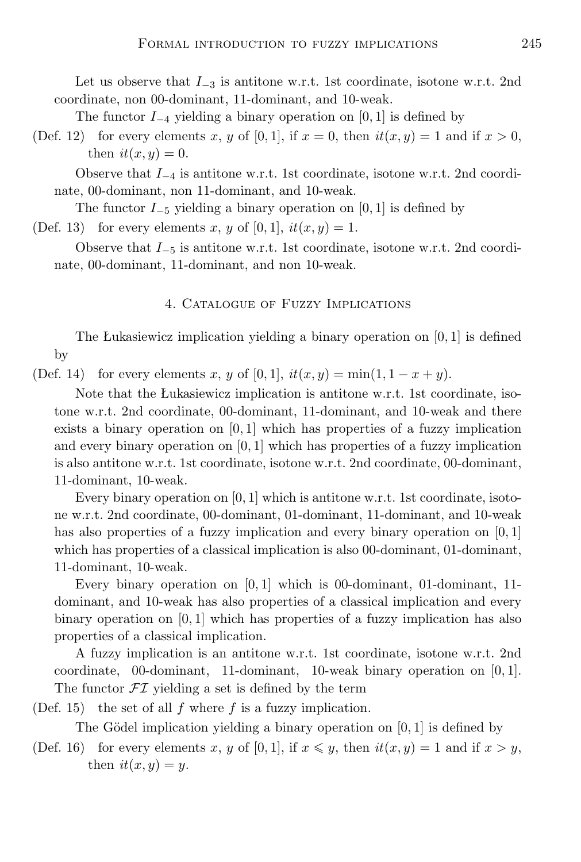Let us observe that *I−*<sup>3</sup> is antitone w.r.t. 1st coordinate, isotone w.r.t. 2nd coordinate, non 00-dominant, 11-dominant, and 10-weak.

The functor *I−*<sup>4</sup> yielding a binary operation on [0*,* 1] is defined by

(Def. 12) for every elements x, y of [0, 1], if  $x = 0$ , then  $it(x, y) = 1$  and if  $x > 0$ , then  $it(x, y) = 0$ .

Observe that *I−*<sup>4</sup> is antitone w.r.t. 1st coordinate, isotone w.r.t. 2nd coordinate, 00-dominant, non 11-dominant, and 10-weak.

The functor *I−*<sup>5</sup> yielding a binary operation on [0*,* 1] is defined by (Def. 13) for every elements *x*, *y* of [0, 1],  $it(x, y) = 1$ .

<span id="page-4-0"></span>Observe that *I−*<sup>5</sup> is antitone w.r.t. 1st coordinate, isotone w.r.t. 2nd coordinate, 00-dominant, 11-dominant, and non 10-weak.

#### 4. Catalogue of Fuzzy Implications

The Łukasiewicz implication yielding a binary operation on [0*,* 1] is defined by

<span id="page-4-1"></span>(Def. 14) for every elements *x*, *y* of [0, 1],  $it(x, y) = min(1, 1 - x + y)$ .

Note that the Łukasiewicz implication is antitone w.r.t. 1st coordinate, isotone w.r.t. 2nd coordinate, 00-dominant, 11-dominant, and 10-weak and there exists a binary operation on  $[0, 1]$  which has properties of a fuzzy implication and every binary operation on [0*,* 1] which has properties of a fuzzy implication is also antitone w.r.t. 1st coordinate, isotone w.r.t. 2nd coordinate, 00-dominant, 11-dominant, 10-weak.

Every binary operation on [0*,* 1] which is antitone w.r.t. 1st coordinate, isotone w.r.t. 2nd coordinate, 00-dominant, 01-dominant, 11-dominant, and 10-weak has also properties of a fuzzy implication and every binary operation on [0*,* 1] which has properties of a classical implication is also 00-dominant, 01-dominant, 11-dominant, 10-weak.

Every binary operation on [0*,* 1] which is 00-dominant, 01-dominant, 11 dominant, and 10-weak has also properties of a classical implication and every binary operation on [0*,* 1] which has properties of a fuzzy implication has also properties of a classical implication.

A fuzzy implication is an antitone w.r.t. 1st coordinate, isotone w.r.t. 2nd coordinate, 00-dominant, 11-dominant, 10-weak binary operation on [0*,* 1]. The functor  $\mathcal{FI}$  yielding a set is defined by the term

(Def. 15) the set of all *f* where *f* is a fuzzy implication.

The Gödel implication yielding a binary operation on  $[0, 1]$  is defined by

<span id="page-4-2"></span>(Def. 16) for every elements *x*, *y* of [0, 1], if  $x \leq y$ , then  $it(x, y) = 1$  and if  $x > y$ , then  $it(x, y) = y$ .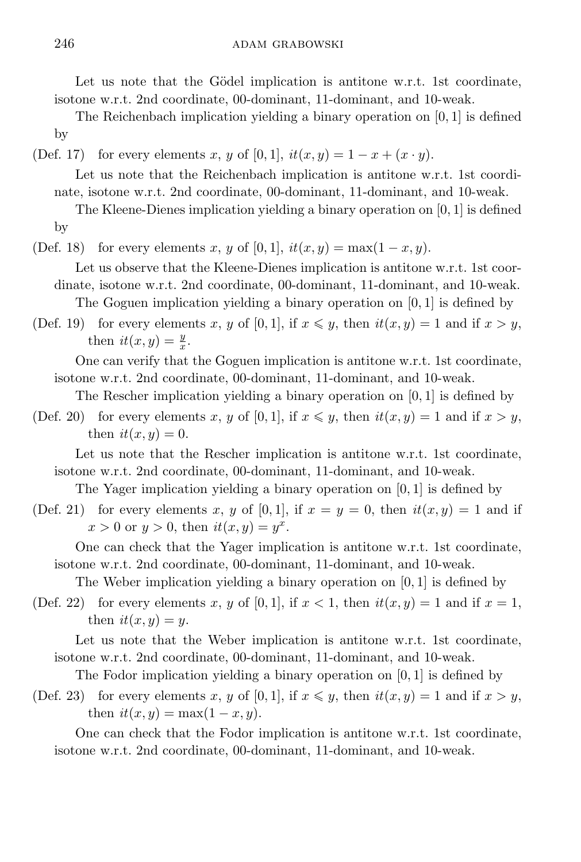Let us note that the Gödel implication is antitone w.r.t. 1st coordinate, isotone w.r.t. 2nd coordinate, 00-dominant, 11-dominant, and 10-weak.

The Reichenbach implication yielding a binary operation on [0*,* 1] is defined by

<span id="page-5-0"></span>(Def. 17) for every elements *x*, *y* of [0, 1],  $it(x, y) = 1 - x + (x \cdot y)$ .

Let us note that the Reichenbach implication is antitone w.r.t. 1st coordinate, isotone w.r.t. 2nd coordinate, 00-dominant, 11-dominant, and 10-weak.

The Kleene-Dienes implication yielding a binary operation on [0*,* 1] is defined by

<span id="page-5-1"></span>(Def. 18) for every elements *x*, *y* of [0, 1],  $it(x, y) = max(1 - x, y)$ .

Let us observe that the Kleene-Dienes implication is antitone w.r.t. 1st coordinate, isotone w.r.t. 2nd coordinate, 00-dominant, 11-dominant, and 10-weak. The Goguen implication yielding a binary operation on [0*,* 1] is defined by

<span id="page-5-2"></span>(Def. 19) for every elements x, y of [0,1], if  $x \leq y$ , then  $it(x, y) = 1$  and if  $x > y$ , then  $it(x, y) = \frac{y}{x}$ .

One can verify that the Goguen implication is antitone w.r.t. 1st coordinate, isotone w.r.t. 2nd coordinate, 00-dominant, 11-dominant, and 10-weak.

<span id="page-5-3"></span>The Rescher implication yielding a binary operation on [0*,* 1] is defined by

(Def. 20) for every elements *x*, *y* of [0, 1], if  $x \leq y$ , then  $it(x, y) = 1$  and if  $x > y$ , then  $it(x, y) = 0$ .

Let us note that the Rescher implication is antitone w.r.t. 1st coordinate, isotone w.r.t. 2nd coordinate, 00-dominant, 11-dominant, and 10-weak.

The Yager implication yielding a binary operation on [0*,* 1] is defined by

<span id="page-5-4"></span>(Def. 21) for every elements x, y of [0, 1], if  $x = y = 0$ , then  $it(x, y) = 1$  and if  $x > 0$  or  $y > 0$ , then  $it(x, y) = y^x$ .

One can check that the Yager implication is antitone w.r.t. 1st coordinate, isotone w.r.t. 2nd coordinate, 00-dominant, 11-dominant, and 10-weak.

The Weber implication yielding a binary operation on [0*,* 1] is defined by

<span id="page-5-5"></span>(Def. 22) for every elements x, y of [0, 1], if  $x < 1$ , then  $it(x, y) = 1$  and if  $x = 1$ , then  $it(x, y) = y$ .

Let us note that the Weber implication is antitone w.r.t. 1st coordinate, isotone w.r.t. 2nd coordinate, 00-dominant, 11-dominant, and 10-weak.

<span id="page-5-6"></span>The Fodor implication yielding a binary operation on [0*,* 1] is defined by

(Def. 23) for every elements *x*, *y* of [0, 1], if  $x \leq y$ , then  $it(x, y) = 1$  and if  $x > y$ , then  $it(x, y) = \max(1 - x, y)$ .

One can check that the Fodor implication is antitone w.r.t. 1st coordinate, isotone w.r.t. 2nd coordinate, 00-dominant, 11-dominant, and 10-weak.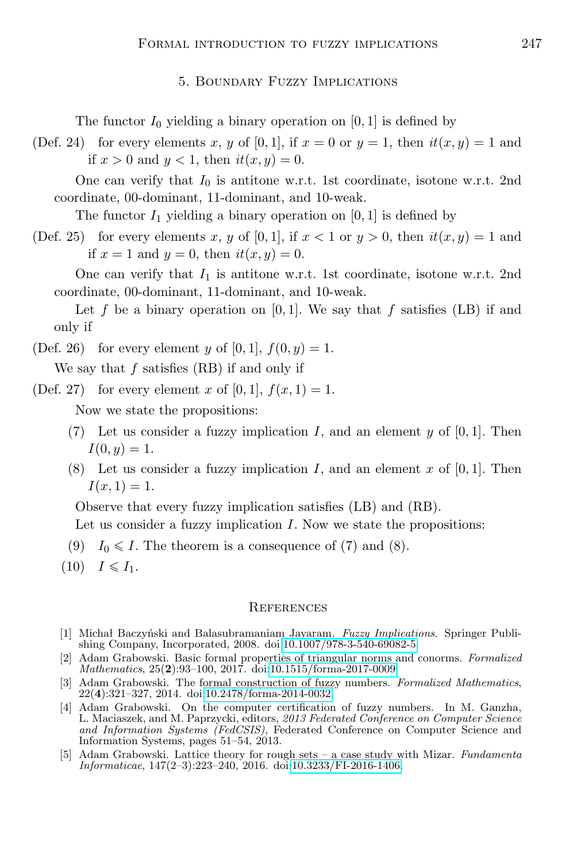## 5. Boundary Fuzzy Implications

The functor  $I_0$  yielding a binary operation on [0, 1] is defined by

(Def. 24) for every elements x, y of [0, 1], if  $x = 0$  or  $y = 1$ , then  $it(x, y) = 1$  and if  $x > 0$  and  $y < 1$ , then  $it(x, y) = 0$ .

One can verify that  $I_0$  is antitone w.r.t. 1st coordinate, isotone w.r.t. 2nd coordinate, 00-dominant, 11-dominant, and 10-weak.

The functor  $I_1$  yielding a binary operation on [0, 1] is defined by

(Def. 25) for every elements x, y of [0, 1], if  $x < 1$  or  $y > 0$ , then  $it(x, y) = 1$  and if  $x = 1$  and  $y = 0$ , then  $it(x, y) = 0$ .

One can verify that  $I_1$  is antitone w.r.t. 1st coordinate, isotone w.r.t. 2nd coordinate, 00-dominant, 11-dominant, and 10-weak.

Let f be a binary operation on  $[0, 1]$ . We say that f satisfies  $(LB)$  if and only if

(Def. 26) for every element *y* of [0, 1],  $f(0, y) = 1$ .

We say that *f* satisfies (RB) if and only if

(Def. 27) for every element *x* of [0, 1],  $f(x, 1) = 1$ .

Now we state the propositions:

- (7) Let us consider a fuzzy implication *I*, and an element  $y$  of [0, 1]. Then  $I(0, y) = 1.$
- (8) Let us consider a fuzzy implication *I*, and an element *x* of [0*,* 1]. Then  $I(x, 1) = 1.$

Observe that every fuzzy implication satisfies (LB) and (RB).

Let us consider a fuzzy implication *I*. Now we state the propositions:

- (9)  $I_0 \leq I$ . The theorem is a consequence of (7) and (8).
- $(10)$   $I \leqslant I_1$ .

#### **REFERENCES**

- <span id="page-6-2"></span>[1] Michał Baczyński and Balasubramaniam Jayaram. *Fuzzy Implications*. Springer Publishing Company, Incorporated, 2008. doi[:10.1007/978-3-540-69082-5.](http://dx.doi.org/10.1007/978-3-540-69082-5)
- <span id="page-6-3"></span>[2] Adam Grabowski. Basic formal properties of triangular norms and conorms. *Formalized Mathematics*, 25(**2**):93–100, 2017. doi[:10.1515/forma-2017-0009.](http://dx.doi.org/10.1515/forma-2017-0009)
- <span id="page-6-0"></span>[3] Adam Grabowski. The formal construction of fuzzy numbers. *Formalized Mathematics*, 22(**4**):321–327, 2014. doi[:10.2478/forma-2014-0032.](http://dx.doi.org/10.2478/forma-2014-0032)
- <span id="page-6-4"></span>[4] Adam Grabowski. On the computer certification of fuzzy numbers. In M. Ganzha, L. Maciaszek, and M. Paprzycki, editors, *2013 Federated Conference on Computer Science and Information Systems (FedCSIS)*, Federated Conference on Computer Science and Information Systems, pages 51–54, 2013.
- <span id="page-6-1"></span>[5] Adam Grabowski. Lattice theory for rough sets – a case study with Mizar. *Fundamenta Informaticae*, 147(2–3):223–240, 2016. doi[:10.3233/FI-2016-1406.](http://dx.doi.org/10.3233/FI-2016-1406)